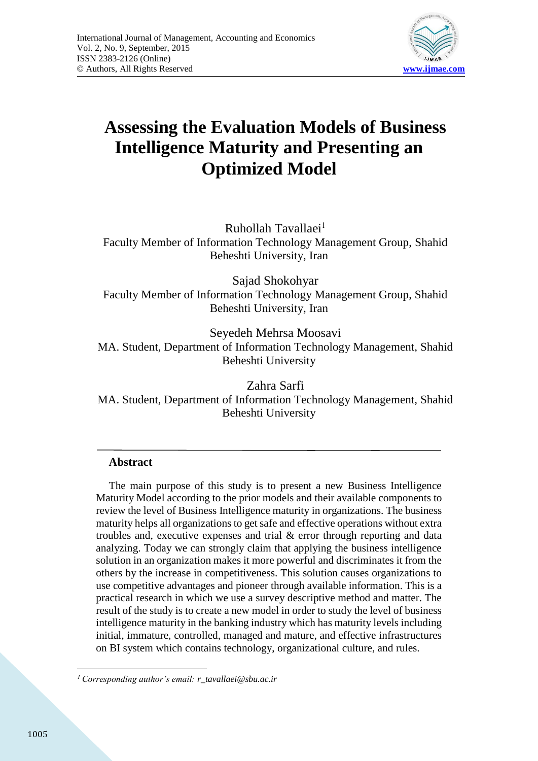

# **Assessing the Evaluation Models of Business Intelligence Maturity and Presenting an Optimized Model**

Ruhollah Tavallaei<sup>1</sup> Faculty Member of Information Technology Management Group, Shahid Beheshti University, Iran

Sajad Shokohyar Faculty Member of Information Technology Management Group, Shahid Beheshti University, Iran

Seyedeh Mehrsa Moosavi MA. Student, Department of Information Technology Management, Shahid Beheshti University

Zahra Sarfi MA. Student, Department of Information Technology Management, Shahid Beheshti University

# **Abstract**

The main purpose of this study is to present a new Business Intelligence Maturity Model according to the prior models and their available components to review the level of Business Intelligence maturity in organizations. The business maturity helps all organizations to get safe and effective operations without extra troubles and, executive expenses and trial & error through reporting and data analyzing. Today we can strongly claim that applying the business intelligence solution in an organization makes it more powerful and discriminates it from the others by the increase in competitiveness. This solution causes organizations to use competitive advantages and pioneer through available information. This is a practical research in which we use a survey descriptive method and matter. The result of the study is to create a new model in order to study the level of business intelligence maturity in the banking industry which has maturity levels including initial, immature, controlled, managed and mature, and effective infrastructures on BI system which contains technology, organizational culture, and rules.

**<sup>.</sup>** <sup>1</sup> *Corresponding author's email: r\_tavallaei@sbu.ac.ir*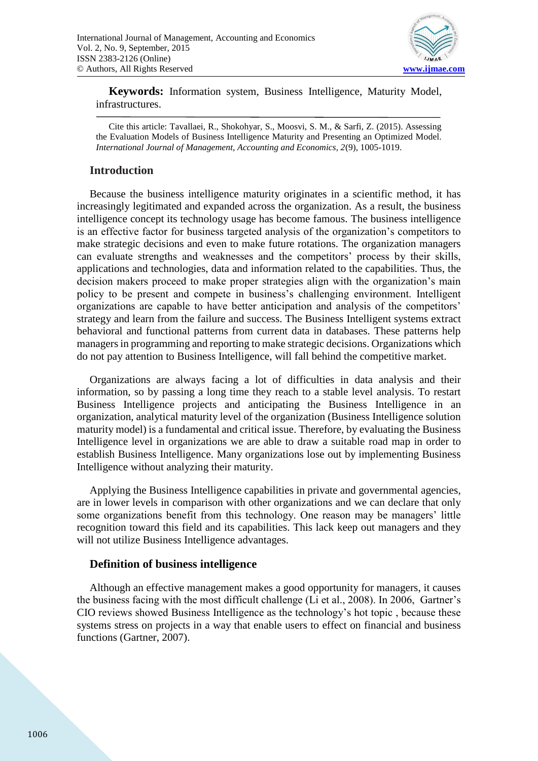

**Keywords:** Information system, Business Intelligence, Maturity Model, infrastructures.

Cite this article: Tavallaei, R., Shokohyar, S., Moosvi, S. M., & Sarfi, Z. (2015). Assessing the Evaluation Models of Business Intelligence Maturity and Presenting an Optimized Model. *International Journal of Management, Accounting and Economics, 2*(9), 1005-1019.

## **Introduction**

Because the business intelligence maturity originates in a scientific method, it has increasingly legitimated and expanded across the organization. As a result, the business intelligence concept its technology usage has become famous. The business intelligence is an effective factor for business targeted analysis of the organization's competitors to make strategic decisions and even to make future rotations. The organization managers can evaluate strengths and weaknesses and the competitors' process by their skills, applications and technologies, data and information related to the capabilities. Thus, the decision makers proceed to make proper strategies align with the organization's main policy to be present and compete in business's challenging environment. Intelligent organizations are capable to have better anticipation and analysis of the competitors' strategy and learn from the failure and success. The Business Intelligent systems extract behavioral and functional patterns from current data in databases. These patterns help managers in programming and reporting to make strategic decisions. Organizations which do not pay attention to Business Intelligence, will fall behind the competitive market.

Organizations are always facing a lot of difficulties in data analysis and their information, so by passing a long time they reach to a stable level analysis. To restart Business Intelligence projects and anticipating the Business Intelligence in an organization, analytical maturity level of the organization (Business Intelligence solution maturity model) is a fundamental and critical issue. Therefore, by evaluating the Business Intelligence level in organizations we are able to draw a suitable road map in order to establish Business Intelligence. Many organizations lose out by implementing Business Intelligence without analyzing their maturity.

Applying the Business Intelligence capabilities in private and governmental agencies, are in lower levels in comparison with other organizations and we can declare that only some organizations benefit from this technology. One reason may be managers' little recognition toward this field and its capabilities. This lack keep out managers and they will not utilize Business Intelligence advantages.

#### **Definition of business intelligence**

Although an effective management makes a good opportunity for managers, it causes the business facing with the most difficult challenge (Li et al., 2008). In 2006, Gartner's CIO reviews showed Business Intelligence as the technology's hot topic , because these systems stress on projects in a way that enable users to effect on financial and business functions (Gartner, 2007).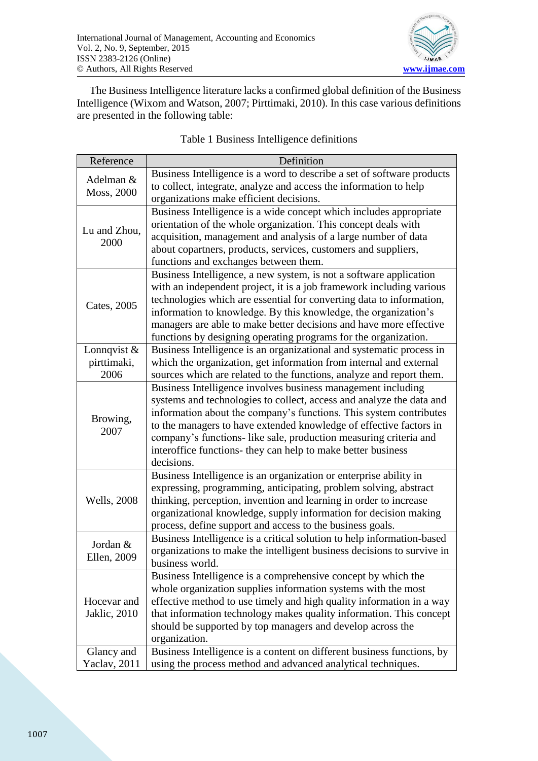

The Business Intelligence literature lacks a confirmed global definition of the Business Intelligence (Wixom and Watson, 2007; Pirttimaki, 2010). In this case various definitions are presented in the following table:

| Reference                   | Definition                                                             |  |  |
|-----------------------------|------------------------------------------------------------------------|--|--|
| Adelman &<br>Moss, 2000     | Business Intelligence is a word to describe a set of software products |  |  |
|                             | to collect, integrate, analyze and access the information to help      |  |  |
|                             | organizations make efficient decisions.                                |  |  |
|                             | Business Intelligence is a wide concept which includes appropriate     |  |  |
| Lu and Zhou,<br>2000        | orientation of the whole organization. This concept deals with         |  |  |
|                             | acquisition, management and analysis of a large number of data         |  |  |
|                             | about copartners, products, services, customers and suppliers,         |  |  |
|                             | functions and exchanges between them.                                  |  |  |
|                             | Business Intelligence, a new system, is not a software application     |  |  |
|                             | with an independent project, it is a job framework including various   |  |  |
|                             | technologies which are essential for converting data to information,   |  |  |
| Cates, 2005                 | information to knowledge. By this knowledge, the organization's        |  |  |
|                             | managers are able to make better decisions and have more effective     |  |  |
|                             | functions by designing operating programs for the organization.        |  |  |
| Lonnqvist &                 | Business Intelligence is an organizational and systematic process in   |  |  |
| pirttimaki,                 | which the organization, get information from internal and external     |  |  |
| 2006                        | sources which are related to the functions, analyze and report them.   |  |  |
|                             | Business Intelligence involves business management including           |  |  |
|                             | systems and technologies to collect, access and analyze the data and   |  |  |
| Browing,<br>2007            | information about the company's functions. This system contributes     |  |  |
|                             | to the managers to have extended knowledge of effective factors in     |  |  |
|                             | company's functions- like sale, production measuring criteria and      |  |  |
|                             | interoffice functions- they can help to make better business           |  |  |
|                             | decisions.                                                             |  |  |
|                             | Business Intelligence is an organization or enterprise ability in      |  |  |
|                             | expressing, programming, anticipating, problem solving, abstract       |  |  |
| <b>Wells</b> , 2008         | thinking, perception, invention and learning in order to increase      |  |  |
|                             | organizational knowledge, supply information for decision making       |  |  |
|                             | process, define support and access to the business goals.              |  |  |
|                             | Business Intelligence is a critical solution to help information-based |  |  |
| Jordan &                    | organizations to make the intelligent business decisions to survive in |  |  |
| Ellen, 2009                 | business world.                                                        |  |  |
| Hocevar and<br>Jaklic, 2010 | Business Intelligence is a comprehensive concept by which the          |  |  |
|                             | whole organization supplies information systems with the most          |  |  |
|                             | effective method to use timely and high quality information in a way   |  |  |
|                             | that information technology makes quality information. This concept    |  |  |
|                             | should be supported by top managers and develop across the             |  |  |
|                             | organization.                                                          |  |  |
| Glancy and                  | Business Intelligence is a content on different business functions, by |  |  |
| Yaclav, 2011                | using the process method and advanced analytical techniques.           |  |  |

## Table 1 Business Intelligence definitions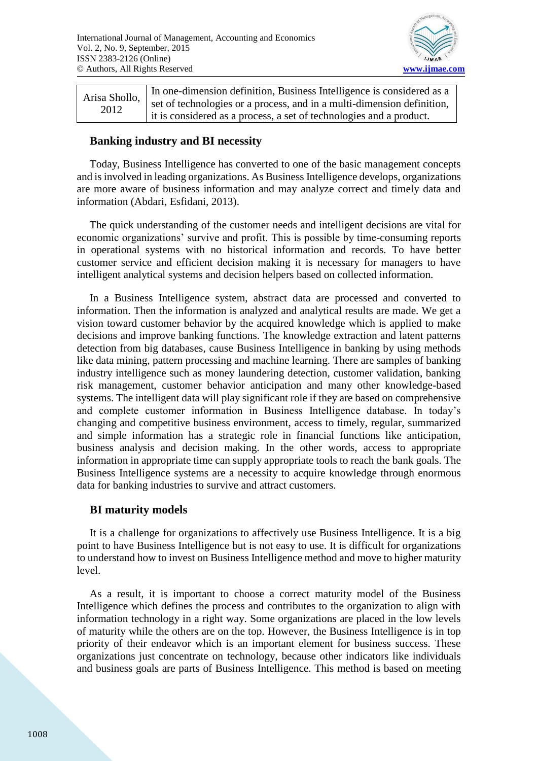

In one-dimension definition, Business Intelligence is considered as a set of technologies or a process, and in a multi-dimension definition, it is considered as a process, a set of technologies and a product. Arisa Shollo, 2012

## **Banking industry and BI necessity**

Today, Business Intelligence has converted to one of the basic management concepts and is involved in leading organizations. As Business Intelligence develops, organizations are more aware of business information and may analyze correct and timely data and information (Abdari, Esfidani, 2013).

The quick understanding of the customer needs and intelligent decisions are vital for economic organizations' survive and profit. This is possible by time-consuming reports in operational systems with no historical information and records. To have better customer service and efficient decision making it is necessary for managers to have intelligent analytical systems and decision helpers based on collected information.

In a Business Intelligence system, abstract data are processed and converted to information. Then the information is analyzed and analytical results are made. We get a vision toward customer behavior by the acquired knowledge which is applied to make decisions and improve banking functions. The knowledge extraction and latent patterns detection from big databases, cause Business Intelligence in banking by using methods like data mining, pattern processing and machine learning. There are samples of banking industry intelligence such as money laundering detection, customer validation, banking risk management, customer behavior anticipation and many other knowledge-based systems. The intelligent data will play significant role if they are based on comprehensive and complete customer information in Business Intelligence database. In today's changing and competitive business environment, access to timely, regular, summarized and simple information has a strategic role in financial functions like anticipation, business analysis and decision making. In the other words, access to appropriate information in appropriate time can supply appropriate tools to reach the bank goals. The Business Intelligence systems are a necessity to acquire knowledge through enormous data for banking industries to survive and attract customers.

## **BI maturity models**

It is a challenge for organizations to affectively use Business Intelligence. It is a big point to have Business Intelligence but is not easy to use. It is difficult for organizations to understand how to invest on Business Intelligence method and move to higher maturity level.

As a result, it is important to choose a correct maturity model of the Business Intelligence which defines the process and contributes to the organization to align with information technology in a right way. Some organizations are placed in the low levels of maturity while the others are on the top. However, the Business Intelligence is in top priority of their endeavor which is an important element for business success. These organizations just concentrate on technology, because other indicators like individuals and business goals are parts of Business Intelligence. This method is based on meeting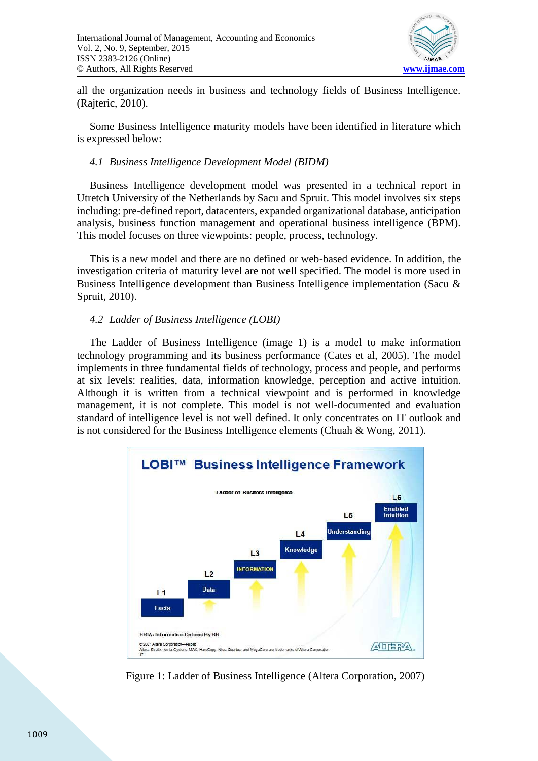

all the organization needs in business and technology fields of Business Intelligence. (Rajteric, 2010).

Some Business Intelligence maturity models have been identified in literature which is expressed below:

### *4.1 Business Intelligence Development Model (BIDM)*

Business Intelligence development model was presented in a technical report in Utretch University of the Netherlands by Sacu and Spruit. This model involves six steps including: pre-defined report, datacenters, expanded organizational database, anticipation analysis, business function management and operational business intelligence (BPM). This model focuses on three viewpoints: people, process, technology.

This is a new model and there are no defined or web-based evidence. In addition, the investigation criteria of maturity level are not well specified. The model is more used in Business Intelligence development than Business Intelligence implementation (Sacu & Spruit, 2010).

## *4.2 Ladder of Business Intelligence (LOBI)*

The Ladder of Business Intelligence (image 1) is a model to make information technology programming and its business performance (Cates et al, 2005). The model implements in three fundamental fields of technology, process and people, and performs at six levels: realities, data, information knowledge, perception and active intuition. Although it is written from a technical viewpoint and is performed in knowledge management, it is not complete. This model is not well-documented and evaluation standard of intelligence level is not well defined. It only concentrates on IT outlook and is not considered for the Business Intelligence elements (Chuah & Wong, 2011).



Figure 1: Ladder of Business Intelligence (Altera Corporation, 2007)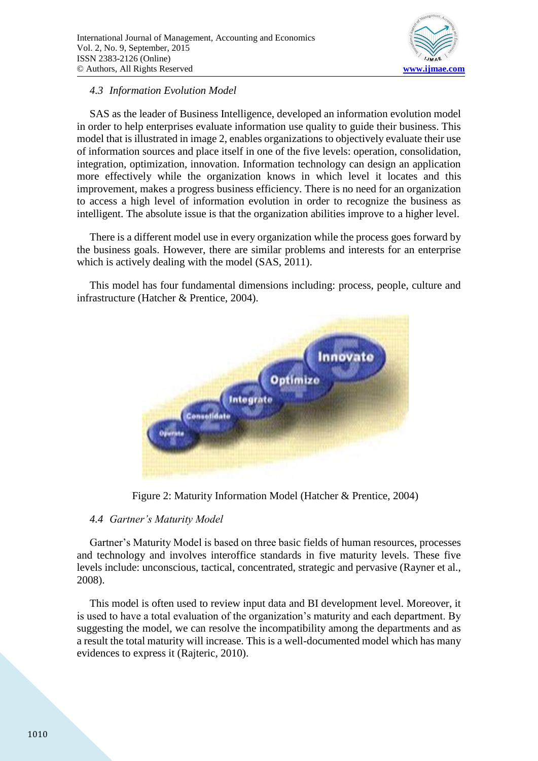

## *4.3 Information Evolution Model*

SAS as the leader of Business Intelligence, developed an information evolution model in order to help enterprises evaluate information use quality to guide their business. This model that is illustrated in image 2, enables organizations to objectively evaluate their use of information sources and place itself in one of the five levels: operation, consolidation, integration, optimization, innovation. Information technology can design an application more effectively while the organization knows in which level it locates and this improvement, makes a progress business efficiency. There is no need for an organization to access a high level of information evolution in order to recognize the business as intelligent. The absolute issue is that the organization abilities improve to a higher level.

There is a different model use in every organization while the process goes forward by the business goals. However, there are similar problems and interests for an enterprise which is actively dealing with the model (SAS, 2011).

This model has four fundamental dimensions including: process, people, culture and infrastructure (Hatcher & Prentice, 2004).



Figure 2: Maturity Information Model (Hatcher & Prentice, 2004)

#### *4.4 Gartner's Maturity Model*

Gartner's Maturity Model is based on three basic fields of human resources, processes and technology and involves interoffice standards in five maturity levels. These five levels include: unconscious, tactical, concentrated, strategic and pervasive (Rayner et al., 2008).

This model is often used to review input data and BI development level. Moreover, it is used to have a total evaluation of the organization's maturity and each department. By suggesting the model, we can resolve the incompatibility among the departments and as a result the total maturity will increase. This is a well-documented model which has many evidences to express it (Rajteric, 2010).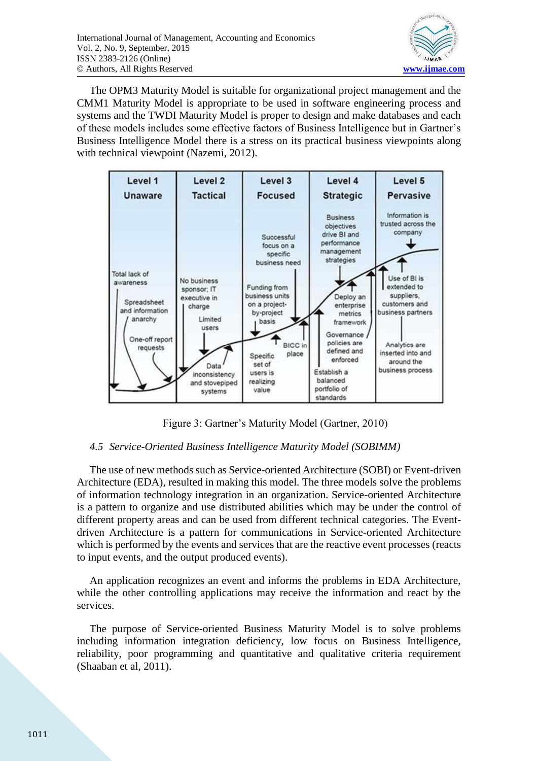

The OPM3 Maturity Model is suitable for organizational project management and the CMM1 Maturity Model is appropriate to be used in software engineering process and systems and the TWDI Maturity Model is proper to design and make databases and each of these models includes some effective factors of Business Intelligence but in Gartner's Business Intelligence Model there is a stress on its practical business viewpoints along with technical viewpoint (Nazemi, 2012).



Figure 3: Gartner's Maturity Model (Gartner, 2010)

## *4.5 Service-Oriented Business Intelligence Maturity Model (SOBIMM)*

The use of new methods such as Service-oriented Architecture (SOBI) or Event-driven Architecture (EDA), resulted in making this model. The three models solve the problems of information technology integration in an organization. Service-oriented Architecture is a pattern to organize and use distributed abilities which may be under the control of different property areas and can be used from different technical categories. The Eventdriven Architecture is a pattern for communications in Service-oriented Architecture which is performed by the events and services that are the reactive event processes (reacts to input events, and the output produced events).

An application recognizes an event and informs the problems in EDA Architecture, while the other controlling applications may receive the information and react by the services.

The purpose of Service-oriented Business Maturity Model is to solve problems including information integration deficiency, low focus on Business Intelligence, reliability, poor programming and quantitative and qualitative criteria requirement (Shaaban et al, 2011).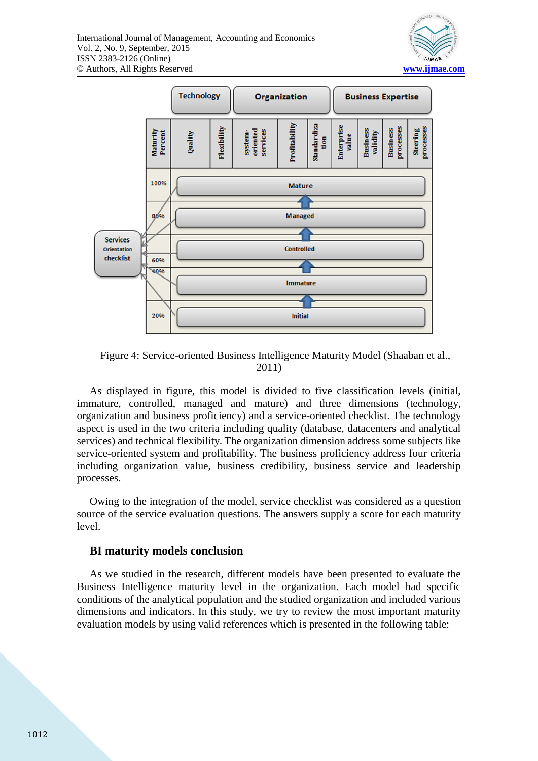



Figure 4: Service-oriented Business Intelligence Maturity Model (Shaaban et al., 2011)

As displayed in figure, this model is divided to five classification levels (initial, immature, controlled, managed and mature) and three dimensions (technology, organization and business proficiency) and a service-oriented checklist. The technology aspect is used in the two criteria including quality (database, datacenters and analytical services) and technical flexibility. The organization dimension address some subjects like service-oriented system and profitability. The business proficiency address four criteria including organization value, business credibility, business service and leadership processes.

Owing to the integration of the model, service checklist was considered as a question source of the service evaluation questions. The answers supply a score for each maturity level.

#### **BI maturity models conclusion**

As we studied in the research, different models have been presented to evaluate the Business Intelligence maturity level in the organization. Each model had specific conditions of the analytical population and the studied organization and included various dimensions and indicators. In this study, we try to review the most important maturity evaluation models by using valid references which is presented in the following table: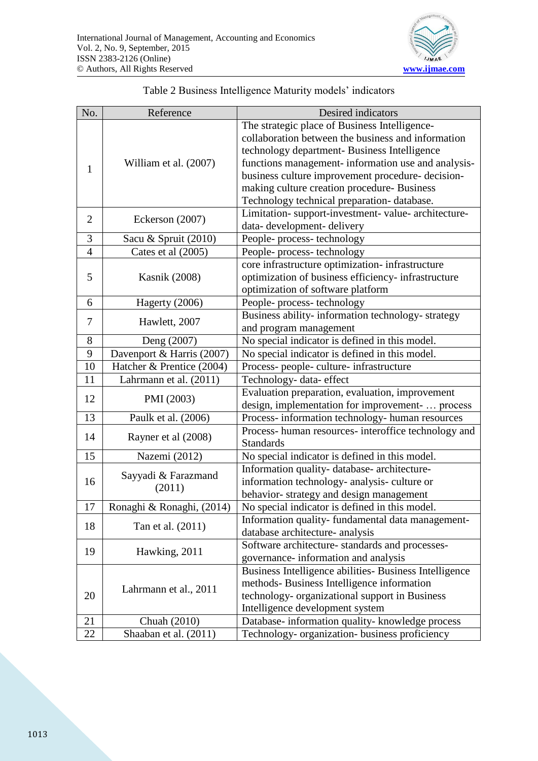

|  | Table 2 Business Intelligence Maturity models' indicators |
|--|-----------------------------------------------------------|
|--|-----------------------------------------------------------|

| No.            | Reference                     | Desired indicators                                     |
|----------------|-------------------------------|--------------------------------------------------------|
| 1              | William et al. (2007)         | The strategic place of Business Intelligence-          |
|                |                               | collaboration between the business and information     |
|                |                               | technology department- Business Intelligence           |
|                |                               | functions management- information use and analysis-    |
|                |                               | business culture improvement procedure-decision-       |
|                |                               | making culture creation procedure- Business            |
|                |                               | Technology technical preparation-database.             |
| $\overline{2}$ | Eckerson (2007)               | Limitation- support-investment- value- architecture-   |
|                |                               | data-development-delivery                              |
| 3              | Sacu & Spruit (2010)          | People-process-technology                              |
| $\overline{4}$ | Cates et al (2005)            | People-process-technology                              |
| 5              | <b>Kasnik</b> (2008)          | core infrastructure optimization- infrastructure       |
|                |                               | optimization of business efficiency- infrastructure    |
|                |                               | optimization of software platform                      |
| 6              | Hagerty (2006)                | People-process-technology                              |
| 7              |                               | Business ability- information technology- strategy     |
|                | Hawlett, 2007                 | and program management                                 |
| 8              | Deng (2007)                   | No special indicator is defined in this model.         |
| 9              | Davenport & Harris (2007)     | No special indicator is defined in this model.         |
| 10             | Hatcher & Prentice (2004)     | Process- people- culture- infrastructure               |
| 11             | Lahrmann et al. (2011)        | Technology- data- effect                               |
| 12             | PMI (2003)                    | Evaluation preparation, evaluation, improvement        |
|                |                               | design, implementation for improvement-  process       |
| 13             | Paulk et al. (2006)           | Process-information technology-human resources         |
| 14             | Rayner et al (2008)           | Process- human resources- interoffice technology and   |
|                |                               | <b>Standards</b>                                       |
| 15             | Nazemi (2012)                 | No special indicator is defined in this model.         |
| 16             | Sayyadi & Farazmand<br>(2011) | Information quality-database-architecture-             |
|                |                               | information technology- analysis- culture or           |
|                |                               | behavior-strategy and design management                |
| 17             | Ronaghi & Ronaghi, (2014)     | No special indicator is defined in this model.         |
| 18             | Tan et al. (2011)             | Information quality-fundamental data management-       |
|                |                               | database architecture- analysis                        |
| 19             | Hawking, 2011                 | Software architecture-standards and processes-         |
|                |                               | governance-information and analysis                    |
| 20             | Lahrmann et al., 2011         | Business Intelligence abilities- Business Intelligence |
|                |                               | methods-Business Intelligence information              |
|                |                               | technology- organizational support in Business         |
|                |                               | Intelligence development system                        |
| 21             | Chuah (2010)                  | Database- information quality- knowledge process       |
| 22             | Shaaban et al. (2011)         | Technology- organization- business proficiency         |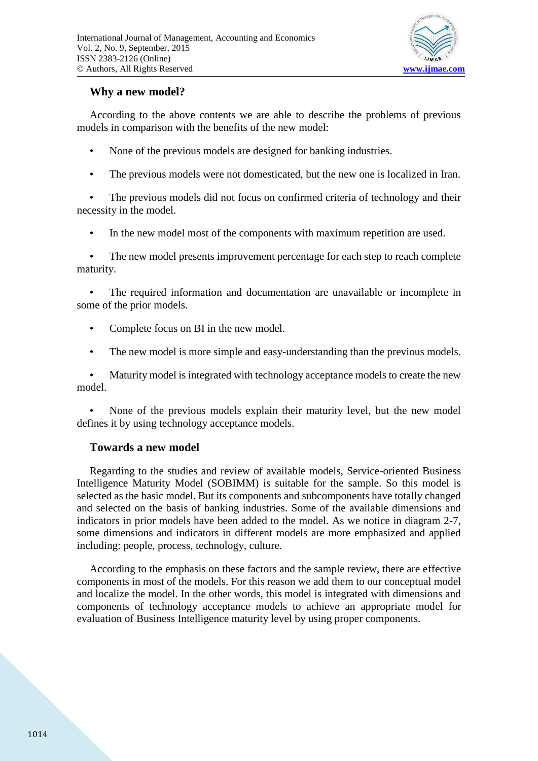

## **Why a new model?**

According to the above contents we are able to describe the problems of previous models in comparison with the benefits of the new model:

- None of the previous models are designed for banking industries.
- The previous models were not domesticated, but the new one is localized in Iran.

• The previous models did not focus on confirmed criteria of technology and their necessity in the model.

• In the new model most of the components with maximum repetition are used.

• The new model presents improvement percentage for each step to reach complete maturity.

The required information and documentation are unavailable or incomplete in some of the prior models.

- Complete focus on BI in the new model.
- The new model is more simple and easy-understanding than the previous models.

• Maturity model is integrated with technology acceptance models to create the new model.

• None of the previous models explain their maturity level, but the new model defines it by using technology acceptance models.

## **Towards a new model**

Regarding to the studies and review of available models, Service-oriented Business Intelligence Maturity Model (SOBIMM) is suitable for the sample. So this model is selected as the basic model. But its components and subcomponents have totally changed and selected on the basis of banking industries. Some of the available dimensions and indicators in prior models have been added to the model. As we notice in diagram 2-7, some dimensions and indicators in different models are more emphasized and applied including: people, process, technology, culture.

According to the emphasis on these factors and the sample review, there are effective components in most of the models. For this reason we add them to our conceptual model and localize the model. In the other words, this model is integrated with dimensions and components of technology acceptance models to achieve an appropriate model for evaluation of Business Intelligence maturity level by using proper components.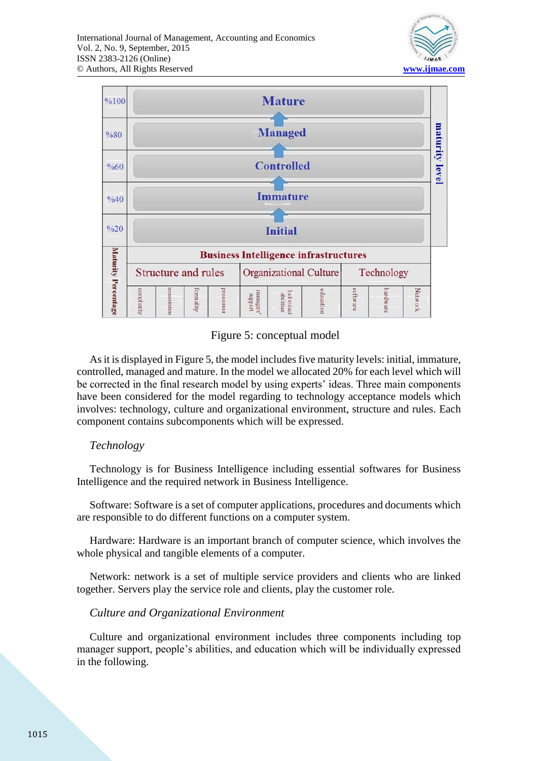



## Figure 5: conceptual model

As it is displayed in Figure 5, the model includes five maturity levels: initial, immature, controlled, managed and mature. In the model we allocated 20% for each level which will be corrected in the final research model by using experts' ideas. Three main components have been considered for the model regarding to technology acceptance models which involves: technology, culture and organizational environment, structure and rules. Each component contains subcomponents which will be expressed.

#### *Technology*

Technology is for Business Intelligence including essential softwares for Business Intelligence and the required network in Business Intelligence.

Software: Software is a set of computer applications, procedures and documents which are responsible to do different functions on a computer system.

Hardware: Hardware is an important branch of computer science, which involves the whole physical and tangible elements of a computer.

Network: network is a set of multiple service providers and clients who are linked together. Servers play the service role and clients, play the customer role.

#### *Culture and Organizational Environment*

Culture and organizational environment includes three components including top manager support, people's abilities, and education which will be individually expressed in the following.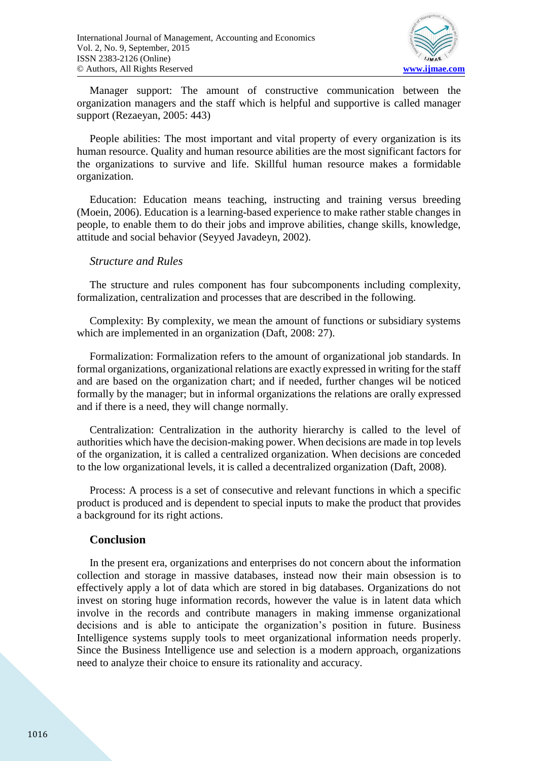

Manager support: The amount of constructive communication between the organization managers and the staff which is helpful and supportive is called manager support (Rezaeyan, 2005: 443)

People abilities: The most important and vital property of every organization is its human resource. Quality and human resource abilities are the most significant factors for the organizations to survive and life. Skillful human resource makes a formidable organization.

Education: Education means teaching, instructing and training versus breeding (Moein, 2006). Education is a learning-based experience to make rather stable changes in people, to enable them to do their jobs and improve abilities, change skills, knowledge, attitude and social behavior (Seyyed Javadeyn, 2002).

#### *Structure and Rules*

The structure and rules component has four subcomponents including complexity, formalization, centralization and processes that are described in the following.

Complexity: By complexity, we mean the amount of functions or subsidiary systems which are implemented in an organization (Daft, 2008: 27).

Formalization: Formalization refers to the amount of organizational job standards. In formal organizations, organizational relations are exactly expressed in writing for the staff and are based on the organization chart; and if needed, further changes wil be noticed formally by the manager; but in informal organizations the relations are orally expressed and if there is a need, they will change normally.

Centralization: Centralization in the authority hierarchy is called to the level of authorities which have the decision-making power. When decisions are made in top levels of the organization, it is called a centralized organization. When decisions are conceded to the low organizational levels, it is called a decentralized organization (Daft, 2008).

Process: A process is a set of consecutive and relevant functions in which a specific product is produced and is dependent to special inputs to make the product that provides a background for its right actions.

#### **Conclusion**

In the present era, organizations and enterprises do not concern about the information collection and storage in massive databases, instead now their main obsession is to effectively apply a lot of data which are stored in big databases. Organizations do not invest on storing huge information records, however the value is in latent data which involve in the records and contribute managers in making immense organizational decisions and is able to anticipate the organization's position in future. Business Intelligence systems supply tools to meet organizational information needs properly. Since the Business Intelligence use and selection is a modern approach, organizations need to analyze their choice to ensure its rationality and accuracy.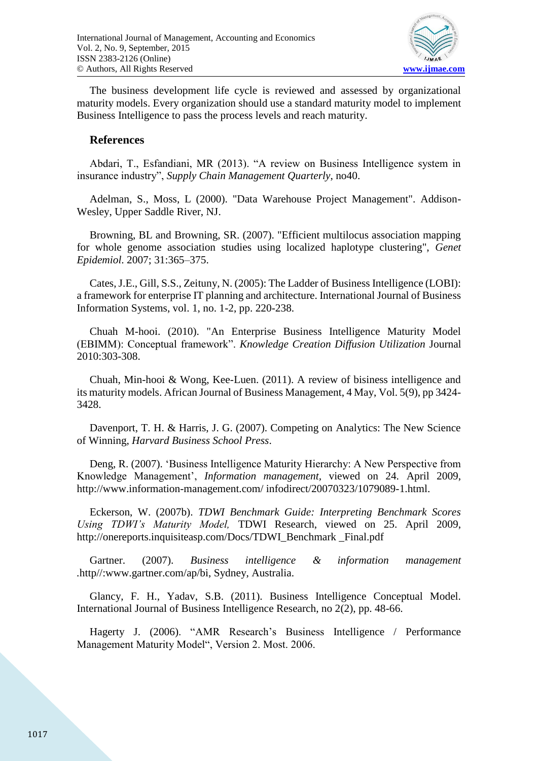

The business development life cycle is reviewed and assessed by organizational maturity models. Every organization should use a standard maturity model to implement Business Intelligence to pass the process levels and reach maturity.

### **References**

Abdari, T., Esfandiani, MR (2013). "A review on Business Intelligence system in insurance industry", *Supply Chain Management Quarterly*, no40.

Adelman, S., Moss, L (2000). "Data Warehouse Project Management". Addison-Wesley, Upper Saddle River, NJ.

Browning, BL and Browning, SR. (2007). "Efficient multilocus association mapping for whole genome association studies using localized haplotype clustering", *Genet Epidemiol*. 2007; 31:365–375.

Cates, J.E., Gill, S.S., Zeituny, N. (2005): The Ladder of Business Intelligence (LOBI): a framework for enterprise IT planning and architecture. International Journal of Business Information Systems, vol. 1, no. 1-2, pp. 220-238.

Chuah M-hooi. (2010). "An Enterprise Business Intelligence Maturity Model (EBIMM): Conceptual framework". *Knowledge Creation Diffusion Utilization* Journal 2010:303-308.

Chuah, Min-hooi & Wong, Kee-Luen. (2011). A review of bisiness intelligence and its maturity models. African Journal of Business Management, 4 May, Vol. 5(9), pp 3424- 3428.

Davenport, T. H. & Harris, J. G. (2007). Competing on Analytics: The New Science of Winning, *Harvard Business School Press*.

Deng, R. (2007). 'Business Intelligence Maturity Hierarchy: A New Perspective from Knowledge Management', *Information management,* viewed on 24. April 2009, http://www.information-management.com/ infodirect/20070323/1079089-1.html.

Eckerson, W. (2007b). *TDWI Benchmark Guide: Interpreting Benchmark Scores Using TDWI's Maturity Model,* TDWI Research, viewed on 25. April 2009, http://onereports.inquisiteasp.com/Docs/TDWI\_Benchmark \_Final.pdf

Gartner. (2007). *Business intelligence & information management .*http//:www.gartner.com/ap/bi, Sydney, Australia.

Glancy, F. H., Yadav, S.B. (2011). Business Intelligence Conceptual Model. International Journal of Business Intelligence Research, no 2(2), pp. 48-66.

Hagerty J. (2006). "AMR Research's Business Intelligence / Performance Management Maturity Model", Version 2. Most. 2006.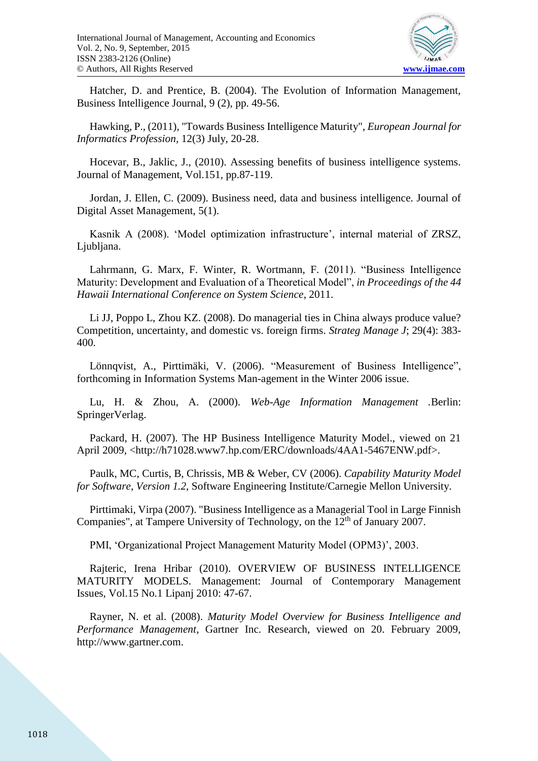

Hatcher, D. and Prentice, B. (2004). The Evolution of Information Management, Business Intelligence Journal, 9 (2), pp. 49-56.

Hawking, P., (2011), "Towards Business Intelligence Maturity", *European Journal for Informatics Profession,* 12(3) July, 20-28.

Hocevar, B., Jaklic, J., (2010). Assessing benefits of business intelligence systems. Journal of Management, Vol.151, pp.87-119.

Jordan, J. Ellen, C. (2009). Business need, data and business intelligence. Journal of Digital Asset Management, 5(1).

Kasnik A (2008). 'Model optimization infrastructure', internal material of ZRSZ, Ljubljana.

Lahrmann, G. Marx, F. Winter, R. Wortmann, F. (2011). "Business Intelligence Maturity: Development and Evaluation of a Theoretical Model", *in Proceedings of the 44 Hawaii International Conference on System Science*, 2011.

Li JJ, Poppo L, Zhou KZ. (2008). Do managerial ties in China always produce value? Competition, uncertainty, and domestic vs. foreign firms. *Strateg Manage J*; 29(4): 383- 400.

Lönnqvist, A., Pirttimäki, V. (2006). "Measurement of Business Intelligence", forthcoming in Information Systems Man-agement in the Winter 2006 issue.

Lu, H. & Zhou, A. (2000). *Web-Age Information Management .*Berlin: SpringerVerlag.

Packard, H. (2007). The HP Business Intelligence Maturity Model., viewed on 21 April 2009, <http://h71028.www7.hp.com/ERC/downloads/4AA1-5467ENW.pdf>.

Paulk, MC, Curtis, B, Chrissis, MB & Weber, CV (2006). *Capability Maturity Model for Software, Version 1.2*, Software Engineering Institute/Carnegie Mellon University.

Pirttimaki, Virpa (2007). "Business Intelligence as a Managerial Tool in Large Finnish Companies", at Tampere University of Technology, on the 12<sup>th</sup> of January 2007.

PMI, 'Organizational Project Management Maturity Model (OPM3)', 2003.

Rajteric, Irena Hribar (2010). OVERVIEW OF BUSINESS INTELLIGENCE MATURITY MODELS. Management: Journal of Contemporary Management Issues, Vol.15 No.1 Lipanj 2010: 47-67.

Rayner, N. et al. (2008). *Maturity Model Overview for Business Intelligence and Performance Management*, Gartner Inc. Research, viewed on 20. February 2009, http://www.gartner.com.